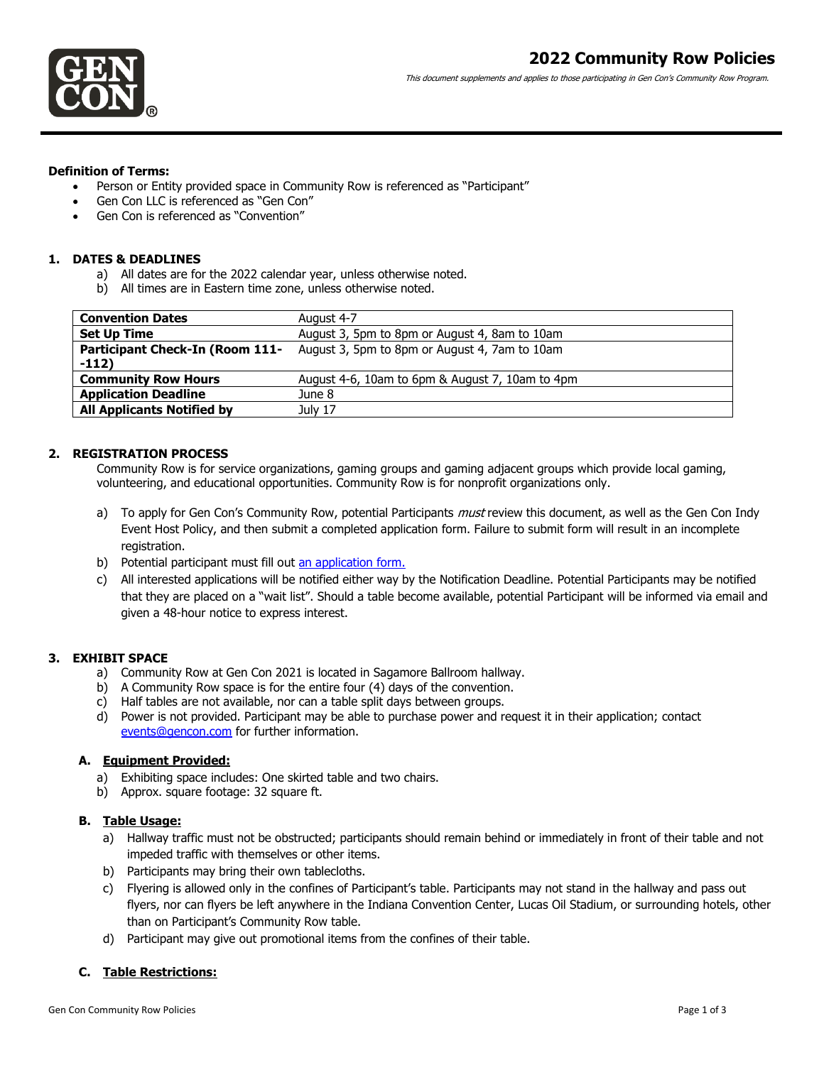This document supplements and applies to those participating in Gen Con's Community Row Program.

#### **Definition of Terms:**

- Person or Entity provided space in Community Row is referenced as "Participant"
- Gen Con LLC is referenced as "Gen Con"
- Gen Con is referenced as "Convention"

#### **1. DATES & DEADLINES**

- a) All dates are for the 2022 calendar year, unless otherwise noted.
- b) All times are in Eastern time zone, unless otherwise noted.

| <b>Convention Dates</b>                | August 4-7                                      |
|----------------------------------------|-------------------------------------------------|
| <b>Set Up Time</b>                     | August 3, 5pm to 8pm or August 4, 8am to 10am   |
| <b>Participant Check-In (Room 111-</b> | August 3, 5pm to 8pm or August 4, 7am to 10am   |
| $-112)$                                |                                                 |
| <b>Community Row Hours</b>             | August 4-6, 10am to 6pm & August 7, 10am to 4pm |
| <b>Application Deadline</b>            | June 8                                          |
| <b>All Applicants Notified by</b>      | July 17                                         |

## **2. REGISTRATION PROCESS**

Community Row is for service organizations, gaming groups and gaming adjacent groups which provide local gaming, volunteering, and educational opportunities. Community Row is for nonprofit organizations only.

- a) To apply for Gen Con's Community Row, potential Participants *must* review this document, as well as the Gen Con Indy Event Host Policy, and then submit a completed application form. Failure to submit form will result in an incomplete registration.
- b) Potential participant must fill out [an application form.](https://forms.gle/zYdN3jBWwkgszVh77)
- c) All interested applications will be notified either way by the Notification Deadline. Potential Participants may be notified that they are placed on a "wait list". Should a table become available, potential Participant will be informed via email and given a 48-hour notice to express interest.

## **3. EXHIBIT SPACE**

- a) Community Row at Gen Con 2021 is located in Sagamore Ballroom hallway.
- b) A Community Row space is for the entire four (4) days of the convention.
- c) Half tables are not available, nor can a table split days between groups.
- d) Power is not provided. Participant may be able to purchase power and request it in their application; contact [events@gencon.com](mailto:events@gencon.com) for further information.

## **A. Equipment Provided:**

- a) Exhibiting space includes: One skirted table and two chairs.
- b) Approx. square footage: 32 square ft.

## **B. Table Usage:**

- a) Hallway traffic must not be obstructed; participants should remain behind or immediately in front of their table and not impeded traffic with themselves or other items.
- b) Participants may bring their own tablecloths.
- c) Flyering is allowed only in the confines of Participant's table. Participants may not stand in the hallway and pass out flyers, nor can flyers be left anywhere in the Indiana Convention Center, Lucas Oil Stadium, or surrounding hotels, other than on Participant's Community Row table.
- d) Participant may give out promotional items from the confines of their table.

## **C. Table Restrictions:**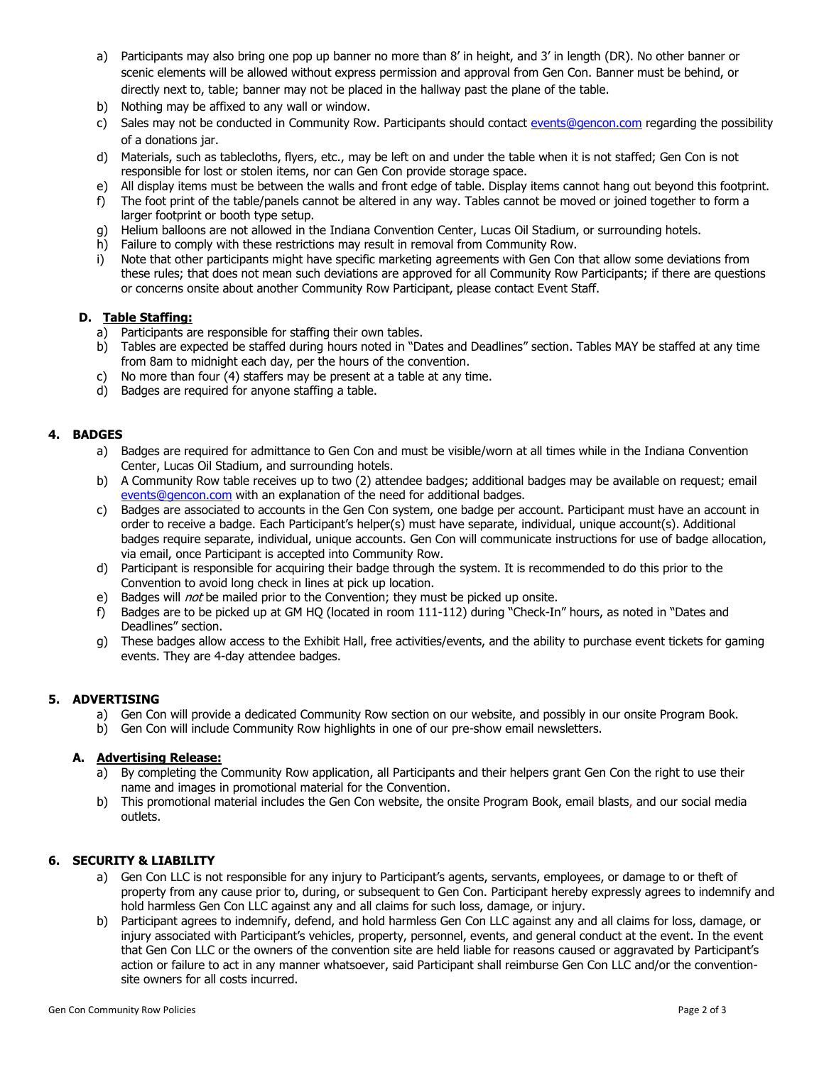- a) Participants may also bring one pop up banner no more than 8' in height, and 3' in length (DR). No other banner or scenic elements will be allowed without express permission and approval from Gen Con. Banner must be behind, or directly next to, table; banner may not be placed in the hallway past the plane of the table.
- b) Nothing may be affixed to any wall or window.
- c) Sales may not be conducted in Community Row. Participants should contact [events@gencon.com](mailto:events@gencon.com) regarding the possibility of a donations jar.
- d) Materials, such as tablecloths, flyers, etc., may be left on and under the table when it is not staffed; Gen Con is not responsible for lost or stolen items, nor can Gen Con provide storage space.
- e) All display items must be between the walls and front edge of table. Display items cannot hang out beyond this footprint.
- f) The foot print of the table/panels cannot be altered in any way. Tables cannot be moved or joined together to form a larger footprint or booth type setup.
- g) Helium balloons are not allowed in the Indiana Convention Center, Lucas Oil Stadium, or surrounding hotels.
- h) Failure to comply with these restrictions may result in removal from Community Row.
- i) Note that other participants might have specific marketing agreements with Gen Con that allow some deviations from these rules; that does not mean such deviations are approved for all Community Row Participants; if there are questions or concerns onsite about another Community Row Participant, please contact Event Staff.

#### **D. Table Staffing:**

- a) Participants are responsible for staffing their own tables.
- b) Tables are expected be staffed during hours noted in "Dates and Deadlines" section. Tables MAY be staffed at any time from 8am to midnight each day, per the hours of the convention.
- c) No more than four (4) staffers may be present at a table at any time.
- d) Badges are required for anyone staffing a table.

#### **4. BADGES**

- a) Badges are required for admittance to Gen Con and must be visible/worn at all times while in the Indiana Convention Center, Lucas Oil Stadium, and surrounding hotels.
- b) A Community Row table receives up to two (2) attendee badges; additional badges may be available on request; email [events@gencon.com](mailto:events@gencon.com) with an explanation of the need for additional badges.
- c) Badges are associated to accounts in the Gen Con system, one badge per account. Participant must have an account in order to receive a badge. Each Participant's helper(s) must have separate, individual, unique account(s). Additional badges require separate, individual, unique accounts. Gen Con will communicate instructions for use of badge allocation, via email, once Participant is accepted into Community Row.
- d) Participant is responsible for acquiring their badge through the system. It is recommended to do this prior to the Convention to avoid long check in lines at pick up location.
- e) Badges will *not* be mailed prior to the Convention; they must be picked up onsite.
- f) Badges are to be picked up at GM HQ (located in room 111-112) during "Check-In" hours, as noted in "Dates and Deadlines" section.
- g) These badges allow access to the Exhibit Hall, free activities/events, and the ability to purchase event tickets for gaming events. They are 4-day attendee badges.

## **5. ADVERTISING**

- a) Gen Con will provide a dedicated Community Row section on our website, and possibly in our onsite Program Book.
- b) Gen Con will include Community Row highlights in one of our pre-show email newsletters.

## **A. Advertising Release:**

- a) By completing the Community Row application, all Participants and their helpers grant Gen Con the right to use their name and images in promotional material for the Convention.
- b) This promotional material includes the Gen Con website, the onsite Program Book, email blasts, and our social media outlets.

# **6. SECURITY & LIABILITY**

- a) Gen Con LLC is not responsible for any injury to Participant's agents, servants, employees, or damage to or theft of property from any cause prior to, during, or subsequent to Gen Con. Participant hereby expressly agrees to indemnify and hold harmless Gen Con LLC against any and all claims for such loss, damage, or injury.
- b) Participant agrees to indemnify, defend, and hold harmless Gen Con LLC against any and all claims for loss, damage, or injury associated with Participant's vehicles, property, personnel, events, and general conduct at the event. In the event that Gen Con LLC or the owners of the convention site are held liable for reasons caused or aggravated by Participant's action or failure to act in any manner whatsoever, said Participant shall reimburse Gen Con LLC and/or the conventionsite owners for all costs incurred.